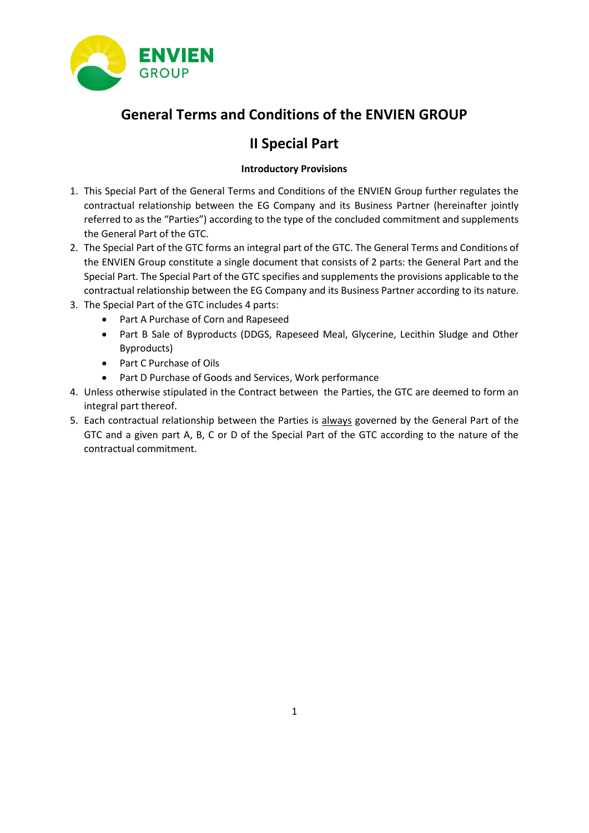

# **General Terms and Conditions of the ENVIEN GROUP**

# **II Special Part**

## **Introductory Provisions**

- 1. This Special Part of the General Terms and Conditions of the ENVIEN Group further regulates the contractual relationship between the EG Company and its Business Partner (hereinafter jointly referred to as the "Parties") according to the type of the concluded commitment and supplements the General Part of the GTC.
- 2. The Special Part of the GTC forms an integral part of the GTC. The General Terms and Conditions of the ENVIEN Group constitute a single document that consists of 2 parts: the General Part and the Special Part. The Special Part of the GTC specifies and supplements the provisions applicable to the contractual relationship between the EG Company and its Business Partner according to its nature.
- 3. The Special Part of the GTC includes 4 parts:
	- Part A Purchase of Corn and Rapeseed
	- Part B Sale of Byproducts (DDGS, Rapeseed Meal, Glycerine, Lecithin Sludge and Other Byproducts)
	- Part C Purchase of Oils
	- Part D Purchase of Goods and Services, Work performance
- 4. Unless otherwise stipulated in the Contract between the Parties, the GTC are deemed to form an integral part thereof.
- 5. Each contractual relationship between the Parties is always governed by the General Part of the GTC and a given part A, B, C or D of the Special Part of the GTC according to the nature of the contractual commitment.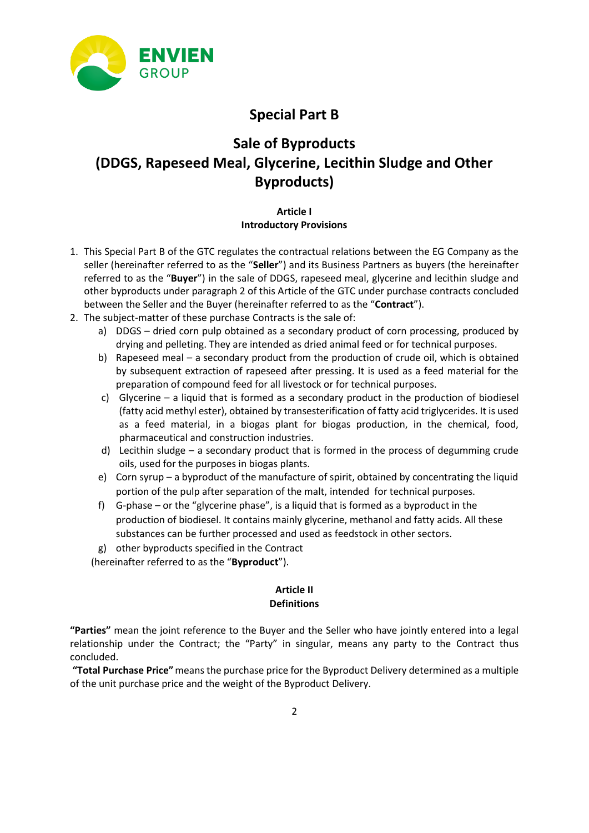

# **Special Part B**

# **Sale of Byproducts (DDGS, Rapeseed Meal, Glycerine, Lecithin Sludge and Other Byproducts)**

### **Article I Introductory Provisions**

- 1. This Special Part B of the GTC regulates the contractual relations between the EG Company as the seller (hereinafter referred to as the "**Seller**") and its Business Partners as buyers (the hereinafter referred to as the "**Buyer**") in the sale of DDGS, rapeseed meal, glycerine and lecithin sludge and other byproducts under paragraph 2 of this Article of the GTC under purchase contracts concluded between the Seller and the Buyer (hereinafter referred to as the "**Contract**").
- 2. The subject-matter of these purchase Contracts is the sale of:
	- a) DDGS dried corn pulp obtained as a secondary product of corn processing, produced by drying and pelleting. They are intended as dried animal feed or for technical purposes.
	- b) Rapeseed meal a secondary product from the production of crude oil, which is obtained by subsequent extraction of rapeseed after pressing. It is used as a feed material for the preparation of compound feed for all livestock or for technical purposes.
	- c) Glycerine a liquid that is formed as a secondary product in the production of biodiesel (fatty acid methyl ester), obtained by transesterification of fatty acid triglycerides. It is used as a feed material, in a biogas plant for biogas production, in the chemical, food, pharmaceutical and construction industries.
	- d) Lecithin sludge a secondary product that is formed in the process of degumming crude oils, used for the purposes in biogas plants.
	- e) Corn syrup a byproduct of the manufacture of spirit, obtained by concentrating the liquid portion of the pulp after separation of the malt, intended for technical purposes.
	- f) G-phase or the "glycerine phase", is a liquid that is formed as a byproduct in the production of biodiesel. It contains mainly glycerine, methanol and fatty acids. All these substances can be further processed and used as feedstock in other sectors.
	- g) other byproducts specified in the Contract

(hereinafter referred to as the "**Byproduct**").

#### **Article II Definitions**

**"Parties"** mean the joint reference to the Buyer and the Seller who have jointly entered into a legal relationship under the Contract; the "Party" in singular, means any party to the Contract thus concluded.

**"Total Purchase Price"**means the purchase price for the Byproduct Delivery determined as a multiple of the unit purchase price and the weight of the Byproduct Delivery.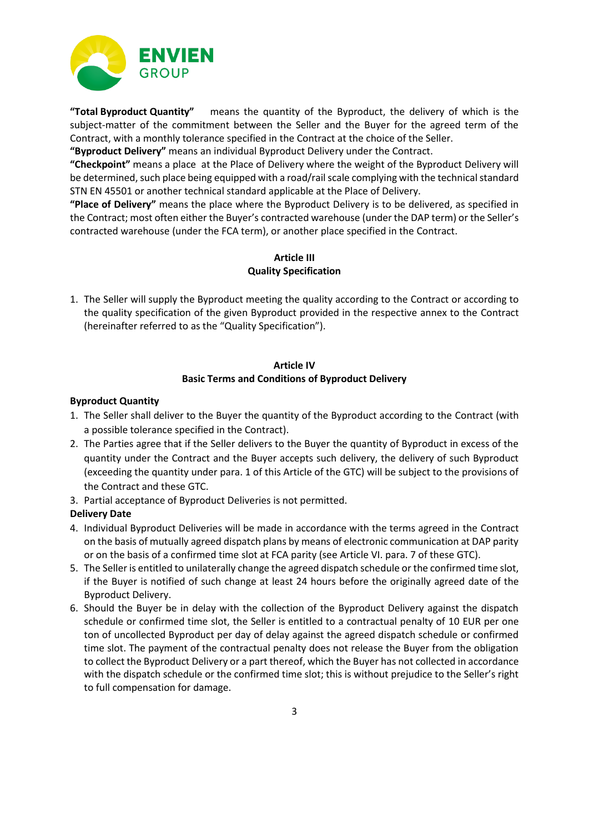

**"Total Byproduct Quantity"** means the quantity of the Byproduct, the delivery of which is the subject-matter of the commitment between the Seller and the Buyer for the agreed term of the Contract, with a monthly tolerance specified in the Contract at the choice of the Seller.

**"Byproduct Delivery"** means an individual Byproduct Delivery under the Contract.

**"Checkpoint"** means a place at the Place of Delivery where the weight of the Byproduct Delivery will be determined, such place being equipped with a road/rail scale complying with the technical standard STN EN 45501 or another technical standard applicable at the Place of Delivery.

**"Place of Delivery"** means the place where the Byproduct Delivery is to be delivered, as specified in the Contract; most often either the Buyer's contracted warehouse (under the DAP term) or the Seller's contracted warehouse (under the FCA term), or another place specified in the Contract.

## **Article III Quality Specification**

1. The Seller will supply the Byproduct meeting the quality according to the Contract or according to the quality specification of the given Byproduct provided in the respective annex to the Contract (hereinafter referred to as the "Quality Specification").

#### **Article IV Basic Terms and Conditions of Byproduct Delivery**

#### **Byproduct Quantity**

- 1. The Seller shall deliver to the Buyer the quantity of the Byproduct according to the Contract (with a possible tolerance specified in the Contract).
- 2. The Parties agree that if the Seller delivers to the Buyer the quantity of Byproduct in excess of the quantity under the Contract and the Buyer accepts such delivery, the delivery of such Byproduct (exceeding the quantity under para. 1 of this Article of the GTC) will be subject to the provisions of the Contract and these GTC.
- 3. Partial acceptance of Byproduct Deliveries is not permitted.

#### **Delivery Date**

- 4. Individual Byproduct Deliveries will be made in accordance with the terms agreed in the Contract on the basis of mutually agreed dispatch plans by means of electronic communication at DAP parity or on the basis of a confirmed time slot at FCA parity (see Article VI. para. 7 of these GTC).
- 5. The Seller is entitled to unilaterally change the agreed dispatch schedule or the confirmed time slot, if the Buyer is notified of such change at least 24 hours before the originally agreed date of the Byproduct Delivery.
- 6. Should the Buyer be in delay with the collection of the Byproduct Delivery against the dispatch schedule or confirmed time slot, the Seller is entitled to a contractual penalty of 10 EUR per one ton of uncollected Byproduct per day of delay against the agreed dispatch schedule or confirmed time slot. The payment of the contractual penalty does not release the Buyer from the obligation to collect the Byproduct Delivery or a part thereof, which the Buyer has not collected in accordance with the dispatch schedule or the confirmed time slot; this is without prejudice to the Seller's right to full compensation for damage.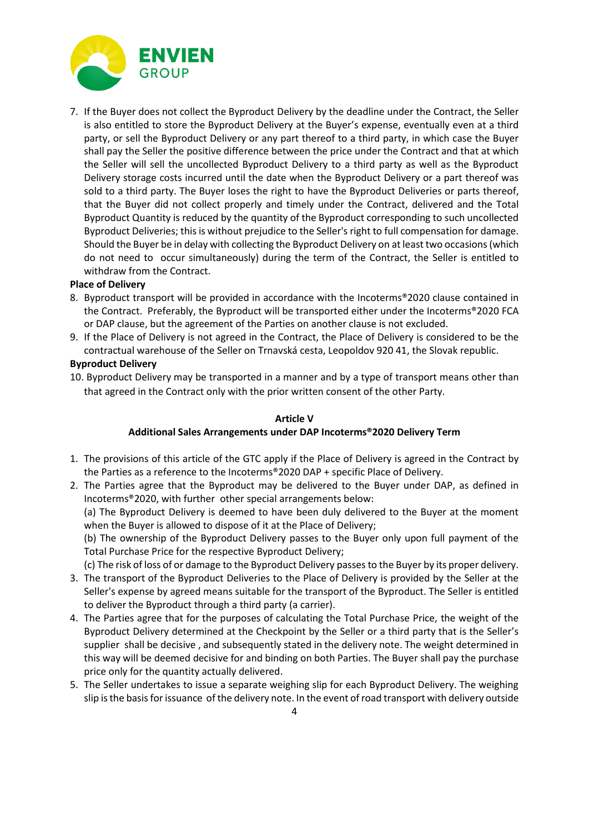

7. If the Buyer does not collect the Byproduct Delivery by the deadline under the Contract, the Seller is also entitled to store the Byproduct Delivery at the Buyer's expense, eventually even at a third party, or sell the Byproduct Delivery or any part thereof to a third party, in which case the Buyer shall pay the Seller the positive difference between the price under the Contract and that at which the Seller will sell the uncollected Byproduct Delivery to a third party as well as the Byproduct Delivery storage costs incurred until the date when the Byproduct Delivery or a part thereof was sold to a third party. The Buyer loses the right to have the Byproduct Deliveries or parts thereof, that the Buyer did not collect properly and timely under the Contract, delivered and the Total Byproduct Quantity is reduced by the quantity of the Byproduct corresponding to such uncollected Byproduct Deliveries; this is without prejudice to the Seller's right to full compensation for damage. Should the Buyer be in delay with collecting the Byproduct Delivery on at least two occasions (which do not need to occur simultaneously) during the term of the Contract, the Seller is entitled to withdraw from the Contract.

#### **Place of Delivery**

- 8. Byproduct transport will be provided in accordance with the Incoterms®2020 clause contained in the Contract. Preferably, the Byproduct will be transported either under the Incoterms®2020 FCA or DAP clause, but the agreement of the Parties on another clause is not excluded.
- 9. If the Place of Delivery is not agreed in the Contract, the Place of Delivery is considered to be the contractual warehouse of the Seller on Trnavská cesta, Leopoldov 920 41, the Slovak republic.

#### **Byproduct Delivery**

10. Byproduct Delivery may be transported in a manner and by a type of transport means other than that agreed in the Contract only with the prior written consent of the other Party.

#### **Article V**

#### **Additional Sales Arrangements under DAP Incoterms®2020 Delivery Term**

- 1. The provisions of this article of the GTC apply if the Place of Delivery is agreed in the Contract by the Parties as a reference to the Incoterms®2020 DAP + specific Place of Delivery.
- 2. The Parties agree that the Byproduct may be delivered to the Buyer under DAP, as defined in Incoterms®2020, with further other special arrangements below:

(a) The Byproduct Delivery is deemed to have been duly delivered to the Buyer at the moment when the Buyer is allowed to dispose of it at the Place of Delivery;

(b) The ownership of the Byproduct Delivery passes to the Buyer only upon full payment of the Total Purchase Price for the respective Byproduct Delivery;

(c) The risk of loss of or damage to the Byproduct Delivery passes to the Buyer by its proper delivery.

- 3. The transport of the Byproduct Deliveries to the Place of Delivery is provided by the Seller at the Seller's expense by agreed means suitable for the transport of the Byproduct. The Seller is entitled to deliver the Byproduct through a third party (a carrier).
- 4. The Parties agree that for the purposes of calculating the Total Purchase Price, the weight of the Byproduct Delivery determined at the Checkpoint by the Seller or a third party that is the Seller's supplier shall be decisive , and subsequently stated in the delivery note. The weight determined in this way will be deemed decisive for and binding on both Parties. The Buyer shall pay the purchase price only for the quantity actually delivered.
- 5. The Seller undertakes to issue a separate weighing slip for each Byproduct Delivery. The weighing slip is the basis for issuance of the delivery note. In the event of road transport with delivery outside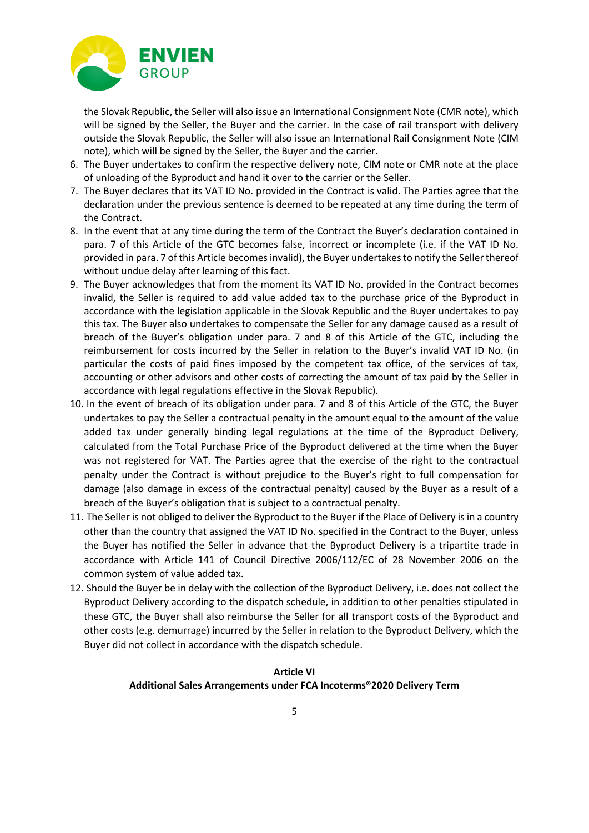

the Slovak Republic, the Seller will also issue an International Consignment Note (CMR note), which will be signed by the Seller, the Buyer and the carrier. In the case of rail transport with delivery outside the Slovak Republic, the Seller will also issue an International Rail Consignment Note (CIM note), which will be signed by the Seller, the Buyer and the carrier.

- 6. The Buyer undertakes to confirm the respective delivery note, CIM note or CMR note at the place of unloading of the Byproduct and hand it over to the carrier or the Seller.
- 7. The Buyer declares that its VAT ID No. provided in the Contract is valid. The Parties agree that the declaration under the previous sentence is deemed to be repeated at any time during the term of the Contract.
- 8. In the event that at any time during the term of the Contract the Buyer's declaration contained in para. 7 of this Article of the GTC becomes false, incorrect or incomplete (i.e. if the VAT ID No. provided in para. 7 of this Article becomes invalid), the Buyer undertakes to notify the Seller thereof without undue delay after learning of this fact.
- 9. The Buyer acknowledges that from the moment its VAT ID No. provided in the Contract becomes invalid, the Seller is required to add value added tax to the purchase price of the Byproduct in accordance with the legislation applicable in the Slovak Republic and the Buyer undertakes to pay this tax. The Buyer also undertakes to compensate the Seller for any damage caused as a result of breach of the Buyer's obligation under para. 7 and 8 of this Article of the GTC, including the reimbursement for costs incurred by the Seller in relation to the Buyer's invalid VAT ID No. (in particular the costs of paid fines imposed by the competent tax office, of the services of tax, accounting or other advisors and other costs of correcting the amount of tax paid by the Seller in accordance with legal regulations effective in the Slovak Republic).
- 10. In the event of breach of its obligation under para. 7 and 8 of this Article of the GTC, the Buyer undertakes to pay the Seller a contractual penalty in the amount equal to the amount of the value added tax under generally binding legal regulations at the time of the Byproduct Delivery, calculated from the Total Purchase Price of the Byproduct delivered at the time when the Buyer was not registered for VAT. The Parties agree that the exercise of the right to the contractual penalty under the Contract is without prejudice to the Buyer's right to full compensation for damage (also damage in excess of the contractual penalty) caused by the Buyer as a result of a breach of the Buyer's obligation that is subject to a contractual penalty.
- 11. The Seller is not obliged to deliver the Byproduct to the Buyer if the Place of Delivery is in a country other than the country that assigned the VAT ID No. specified in the Contract to the Buyer, unless the Buyer has notified the Seller in advance that the Byproduct Delivery is a tripartite trade in accordance with Article 141 of Council Directive 2006/112/EC of 28 November 2006 on the common system of value added tax.
- 12. Should the Buyer be in delay with the collection of the Byproduct Delivery, i.e. does not collect the Byproduct Delivery according to the dispatch schedule, in addition to other penalties stipulated in these GTC, the Buyer shall also reimburse the Seller for all transport costs of the Byproduct and other costs (e.g. demurrage) incurred by the Seller in relation to the Byproduct Delivery, which the Buyer did not collect in accordance with the dispatch schedule.

### **Article VI Additional Sales Arrangements under FCA Incoterms®2020 Delivery Term**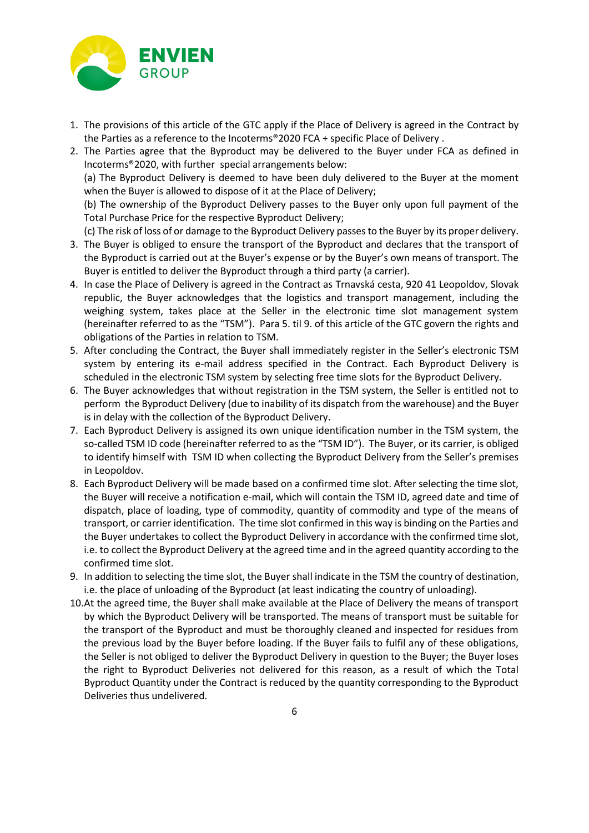

- 1. The provisions of this article of the GTC apply if the Place of Delivery is agreed in the Contract by the Parties as a reference to the Incoterms®2020 FCA + specific Place of Delivery .
- 2. The Parties agree that the Byproduct may be delivered to the Buyer under FCA as defined in Incoterms®2020, with further special arrangements below:

(a) The Byproduct Delivery is deemed to have been duly delivered to the Buyer at the moment when the Buyer is allowed to dispose of it at the Place of Delivery;

(b) The ownership of the Byproduct Delivery passes to the Buyer only upon full payment of the Total Purchase Price for the respective Byproduct Delivery;

(c) The risk of loss of or damage to the Byproduct Delivery passes to the Buyer by its proper delivery.

- 3. The Buyer is obliged to ensure the transport of the Byproduct and declares that the transport of the Byproduct is carried out at the Buyer's expense or by the Buyer's own means of transport. The Buyer is entitled to deliver the Byproduct through a third party (a carrier).
- 4. In case the Place of Delivery is agreed in the Contract as Trnavská cesta, 920 41 Leopoldov, Slovak republic, the Buyer acknowledges that the logistics and transport management, including the weighing system, takes place at the Seller in the electronic time slot management system (hereinafter referred to as the "TSM"). Para 5. til 9. of this article of the GTC govern the rights and obligations of the Parties in relation to TSM.
- 5. After concluding the Contract, the Buyer shall immediately register in the Seller's electronic TSM system by entering its e-mail address specified in the Contract. Each Byproduct Delivery is scheduled in the electronic TSM system by selecting free time slots for the Byproduct Delivery.
- 6. The Buyer acknowledges that without registration in the TSM system, the Seller is entitled not to perform the Byproduct Delivery (due to inability of its dispatch from the warehouse) and the Buyer is in delay with the collection of the Byproduct Delivery.
- 7. Each Byproduct Delivery is assigned its own unique identification number in the TSM system, the so-called TSM ID code (hereinafter referred to as the "TSM ID"). The Buyer, or its carrier, is obliged to identify himself with TSM ID when collecting the Byproduct Delivery from the Seller's premises in Leopoldov.
- 8. Each Byproduct Delivery will be made based on a confirmed time slot. After selecting the time slot, the Buyer will receive a notification e-mail, which will contain the TSM ID, agreed date and time of dispatch, place of loading, type of commodity, quantity of commodity and type of the means of transport, or carrier identification. The time slot confirmed in this way is binding on the Parties and the Buyer undertakes to collect the Byproduct Delivery in accordance with the confirmed time slot, i.e. to collect the Byproduct Delivery at the agreed time and in the agreed quantity according to the confirmed time slot.
- 9. In addition to selecting the time slot, the Buyer shall indicate in the TSM the country of destination, i.e. the place of unloading of the Byproduct (at least indicating the country of unloading).
- 10.At the agreed time, the Buyer shall make available at the Place of Delivery the means of transport by which the Byproduct Delivery will be transported. The means of transport must be suitable for the transport of the Byproduct and must be thoroughly cleaned and inspected for residues from the previous load by the Buyer before loading. If the Buyer fails to fulfil any of these obligations, the Seller is not obliged to deliver the Byproduct Delivery in question to the Buyer; the Buyer loses the right to Byproduct Deliveries not delivered for this reason, as a result of which the Total Byproduct Quantity under the Contract is reduced by the quantity corresponding to the Byproduct Deliveries thus undelivered.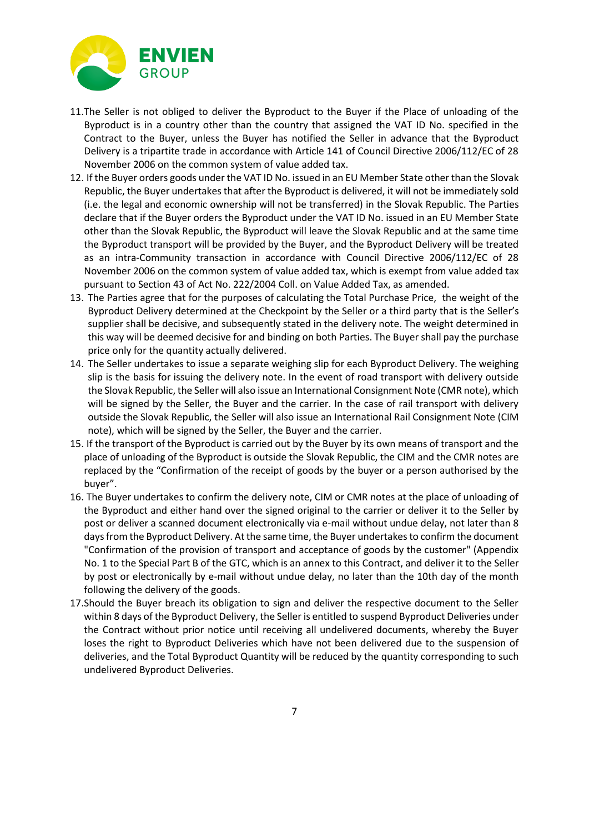

- 11.The Seller is not obliged to deliver the Byproduct to the Buyer if the Place of unloading of the Byproduct is in a country other than the country that assigned the VAT ID No. specified in the Contract to the Buyer, unless the Buyer has notified the Seller in advance that the Byproduct Delivery is a tripartite trade in accordance with Article 141 of Council Directive 2006/112/EC of 28 November 2006 on the common system of value added tax.
- 12. If the Buyer orders goods under the VAT ID No. issued in an EU Member State other than the Slovak Republic, the Buyer undertakes that after the Byproduct is delivered, it will not be immediately sold (i.e. the legal and economic ownership will not be transferred) in the Slovak Republic. The Parties declare that if the Buyer orders the Byproduct under the VAT ID No. issued in an EU Member State other than the Slovak Republic, the Byproduct will leave the Slovak Republic and at the same time the Byproduct transport will be provided by the Buyer, and the Byproduct Delivery will be treated as an intra-Community transaction in accordance with Council Directive 2006/112/EC of 28 November 2006 on the common system of value added tax, which is exempt from value added tax pursuant to Section 43 of Act No. 222/2004 Coll. on Value Added Tax, as amended.
- 13. The Parties agree that for the purposes of calculating the Total Purchase Price, the weight of the Byproduct Delivery determined at the Checkpoint by the Seller or a third party that is the Seller's supplier shall be decisive, and subsequently stated in the delivery note. The weight determined in this way will be deemed decisive for and binding on both Parties. The Buyer shall pay the purchase price only for the quantity actually delivered.
- 14. The Seller undertakes to issue a separate weighing slip for each Byproduct Delivery. The weighing slip is the basis for issuing the delivery note. In the event of road transport with delivery outside the Slovak Republic, the Seller will also issue an International Consignment Note (CMR note), which will be signed by the Seller, the Buyer and the carrier. In the case of rail transport with delivery outside the Slovak Republic, the Seller will also issue an International Rail Consignment Note (CIM note), which will be signed by the Seller, the Buyer and the carrier.
- 15. If the transport of the Byproduct is carried out by the Buyer by its own means of transport and the place of unloading of the Byproduct is outside the Slovak Republic, the CIM and the CMR notes are replaced by the "Confirmation of the receipt of goods by the buyer or a person authorised by the buyer".
- 16. The Buyer undertakes to confirm the delivery note, CIM or CMR notes at the place of unloading of the Byproduct and either hand over the signed original to the carrier or deliver it to the Seller by post or deliver a scanned document electronically via e-mail without undue delay, not later than 8 days from the Byproduct Delivery. At the same time, the Buyer undertakes to confirm the document "Confirmation of the provision of transport and acceptance of goods by the customer" (Appendix No. 1 to the Special Part B of the GTC, which is an annex to this Contract, and deliver it to the Seller by post or electronically by e-mail without undue delay, no later than the 10th day of the month following the delivery of the goods.
- 17.Should the Buyer breach its obligation to sign and deliver the respective document to the Seller within 8 days of the Byproduct Delivery, the Seller is entitled to suspend Byproduct Deliveries under the Contract without prior notice until receiving all undelivered documents, whereby the Buyer loses the right to Byproduct Deliveries which have not been delivered due to the suspension of deliveries, and the Total Byproduct Quantity will be reduced by the quantity corresponding to such undelivered Byproduct Deliveries.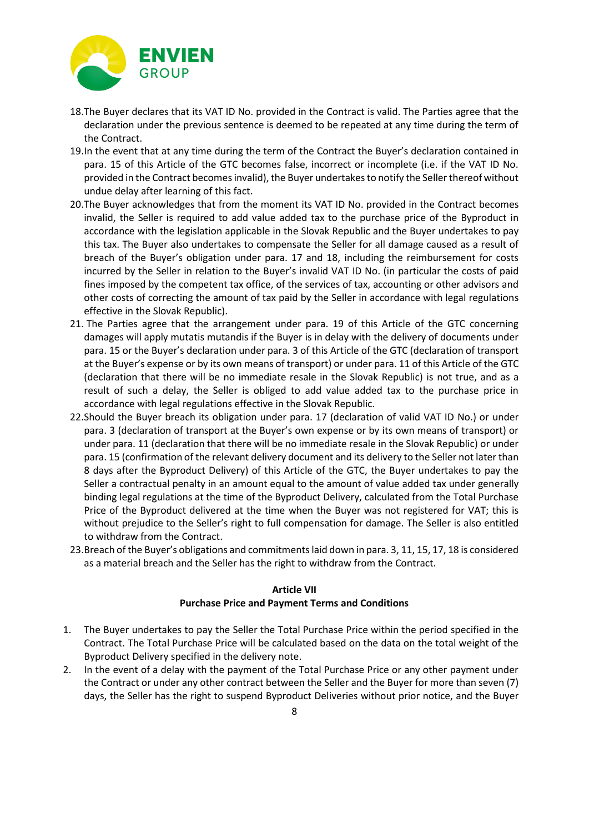

- 18.The Buyer declares that its VAT ID No. provided in the Contract is valid. The Parties agree that the declaration under the previous sentence is deemed to be repeated at any time during the term of the Contract.
- 19.In the event that at any time during the term of the Contract the Buyer's declaration contained in para. 15 of this Article of the GTC becomes false, incorrect or incomplete (i.e. if the VAT ID No. provided in the Contract becomes invalid), the Buyer undertakes to notify the Seller thereof without undue delay after learning of this fact.
- 20.The Buyer acknowledges that from the moment its VAT ID No. provided in the Contract becomes invalid, the Seller is required to add value added tax to the purchase price of the Byproduct in accordance with the legislation applicable in the Slovak Republic and the Buyer undertakes to pay this tax. The Buyer also undertakes to compensate the Seller for all damage caused as a result of breach of the Buyer's obligation under para. 17 and 18, including the reimbursement for costs incurred by the Seller in relation to the Buyer's invalid VAT ID No. (in particular the costs of paid fines imposed by the competent tax office, of the services of tax, accounting or other advisors and other costs of correcting the amount of tax paid by the Seller in accordance with legal regulations effective in the Slovak Republic).
- 21. The Parties agree that the arrangement under para. 19 of this Article of the GTC concerning damages will apply mutatis mutandis if the Buyer is in delay with the delivery of documents under para. 15 or the Buyer's declaration under para. 3 of this Article of the GTC (declaration of transport at the Buyer's expense or by its own means of transport) or under para. 11 of this Article of the GTC (declaration that there will be no immediate resale in the Slovak Republic) is not true, and as a result of such a delay, the Seller is obliged to add value added tax to the purchase price in accordance with legal regulations effective in the Slovak Republic.
- 22.Should the Buyer breach its obligation under para. 17 (declaration of valid VAT ID No.) or under para. 3 (declaration of transport at the Buyer's own expense or by its own means of transport) or under para. 11 (declaration that there will be no immediate resale in the Slovak Republic) or under para. 15 (confirmation of the relevant delivery document and its delivery to the Seller not later than 8 days after the Byproduct Delivery) of this Article of the GTC, the Buyer undertakes to pay the Seller a contractual penalty in an amount equal to the amount of value added tax under generally binding legal regulations at the time of the Byproduct Delivery, calculated from the Total Purchase Price of the Byproduct delivered at the time when the Buyer was not registered for VAT; this is without prejudice to the Seller's right to full compensation for damage. The Seller is also entitled to withdraw from the Contract.
- 23.Breach of the Buyer's obligations and commitments laid down in para. 3, 11, 15, 17, 18 is considered as a material breach and the Seller has the right to withdraw from the Contract.

#### **Article VII Purchase Price and Payment Terms and Conditions**

- 1. The Buyer undertakes to pay the Seller the Total Purchase Price within the period specified in the Contract. The Total Purchase Price will be calculated based on the data on the total weight of the Byproduct Delivery specified in the delivery note.
- 2. In the event of a delay with the payment of the Total Purchase Price or any other payment under the Contract or under any other contract between the Seller and the Buyer for more than seven (7) days, the Seller has the right to suspend Byproduct Deliveries without prior notice, and the Buyer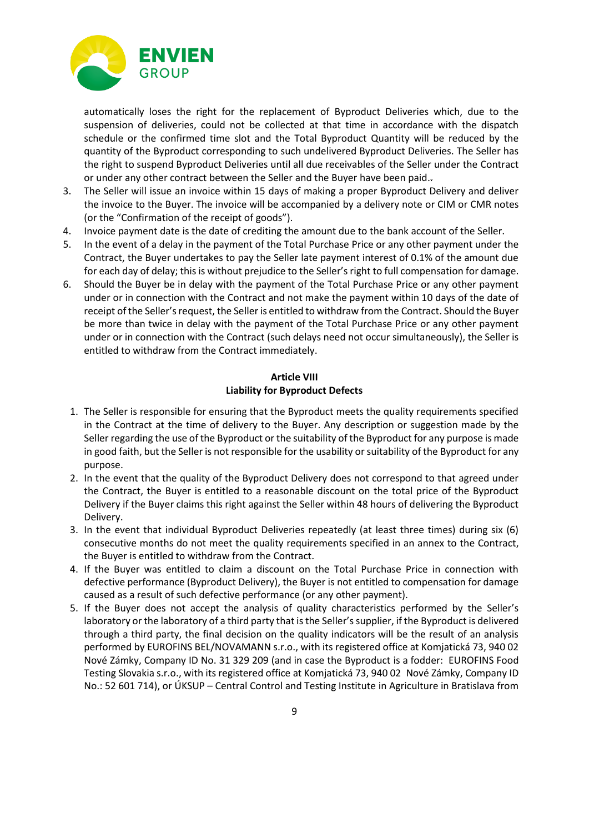

automatically loses the right for the replacement of Byproduct Deliveries which, due to the suspension of deliveries, could not be collected at that time in accordance with the dispatch schedule or the confirmed time slot and the Total Byproduct Quantity will be reduced by the quantity of the Byproduct corresponding to such undelivered Byproduct Deliveries. The Seller has the right to suspend Byproduct Deliveries until all due receivables of the Seller under the Contract or under any other contract between the Seller and the Buyer have been paid..

- 3. The Seller will issue an invoice within 15 days of making a proper Byproduct Delivery and deliver the invoice to the Buyer. The invoice will be accompanied by a delivery note or CIM or CMR notes (or the "Confirmation of the receipt of goods").
- 4. Invoice payment date is the date of crediting the amount due to the bank account of the Seller.
- 5. In the event of a delay in the payment of the Total Purchase Price or any other payment under the Contract, the Buyer undertakes to pay the Seller late payment interest of 0.1% of the amount due for each day of delay; this is without prejudice to the Seller's right to full compensation for damage.
- 6. Should the Buyer be in delay with the payment of the Total Purchase Price or any other payment under or in connection with the Contract and not make the payment within 10 days of the date of receipt of the Seller's request, the Seller is entitled to withdraw from the Contract. Should the Buyer be more than twice in delay with the payment of the Total Purchase Price or any other payment under or in connection with the Contract (such delays need not occur simultaneously), the Seller is entitled to withdraw from the Contract immediately.

#### **Article VIII Liability for Byproduct Defects**

- 1. The Seller is responsible for ensuring that the Byproduct meets the quality requirements specified in the Contract at the time of delivery to the Buyer. Any description or suggestion made by the Seller regarding the use of the Byproduct or the suitability of the Byproduct for any purpose is made in good faith, but the Seller is not responsible for the usability or suitability of the Byproduct for any purpose.
- 2. In the event that the quality of the Byproduct Delivery does not correspond to that agreed under the Contract, the Buyer is entitled to a reasonable discount on the total price of the Byproduct Delivery if the Buyer claims this right against the Seller within 48 hours of delivering the Byproduct Delivery.
- 3. In the event that individual Byproduct Deliveries repeatedly (at least three times) during six (6) consecutive months do not meet the quality requirements specified in an annex to the Contract, the Buyer is entitled to withdraw from the Contract.
- 4. If the Buyer was entitled to claim a discount on the Total Purchase Price in connection with defective performance (Byproduct Delivery), the Buyer is not entitled to compensation for damage caused as a result of such defective performance (or any other payment).
- 5. If the Buyer does not accept the analysis of quality characteristics performed by the Seller's laboratory or the laboratory of a third party that is the Seller's supplier, if the Byproduct is delivered through a third party, the final decision on the quality indicators will be the result of an analysis performed by EUROFINS BEL/NOVAMANN s.r.o., with its registered office at Komjatická 73, 940 02 Nové Zámky, Company ID No. 31 329 209 (and in case the Byproduct is a fodder: EUROFINS Food Testing Slovakia s.r.o., with its registered office at Komjatická 73, 940 02 Nové Zámky, Company ID No.: 52 601 714), or ÚKSUP – Central Control and Testing Institute in Agriculture in Bratislava from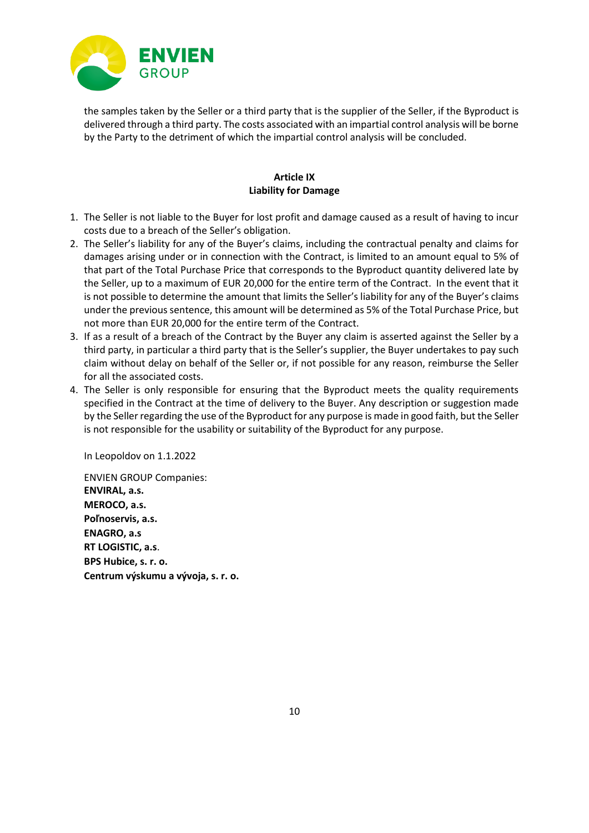

the samples taken by the Seller or a third party that is the supplier of the Seller, if the Byproduct is delivered through a third party. The costs associated with an impartial control analysis will be borne by the Party to the detriment of which the impartial control analysis will be concluded.

#### **Article IX Liability for Damage**

- 1. The Seller is not liable to the Buyer for lost profit and damage caused as a result of having to incur costs due to a breach of the Seller's obligation.
- 2. The Seller's liability for any of the Buyer's claims, including the contractual penalty and claims for damages arising under or in connection with the Contract, is limited to an amount equal to 5% of that part of the Total Purchase Price that corresponds to the Byproduct quantity delivered late by the Seller, up to a maximum of EUR 20,000 for the entire term of the Contract. In the event that it is not possible to determine the amount that limits the Seller's liability for any of the Buyer's claims under the previous sentence, this amount will be determined as 5% of the Total Purchase Price, but not more than EUR 20,000 for the entire term of the Contract.
- 3. If as a result of a breach of the Contract by the Buyer any claim is asserted against the Seller by a third party, in particular a third party that is the Seller's supplier, the Buyer undertakes to pay such claim without delay on behalf of the Seller or, if not possible for any reason, reimburse the Seller for all the associated costs.
- 4. The Seller is only responsible for ensuring that the Byproduct meets the quality requirements specified in the Contract at the time of delivery to the Buyer. Any description or suggestion made by the Seller regarding the use of the Byproduct for any purpose is made in good faith, but the Seller is not responsible for the usability or suitability of the Byproduct for any purpose.

In Leopoldov on 1.1.2022

ENVIEN GROUP Companies: **ENVIRAL, a.s. MEROCO, a.s. Poľnoservis, a.s. ENAGRO, a.s RT LOGISTIC, a.s**. **BPS Hubice, s. r. o. Centrum výskumu a vývoja, s. r. o.**